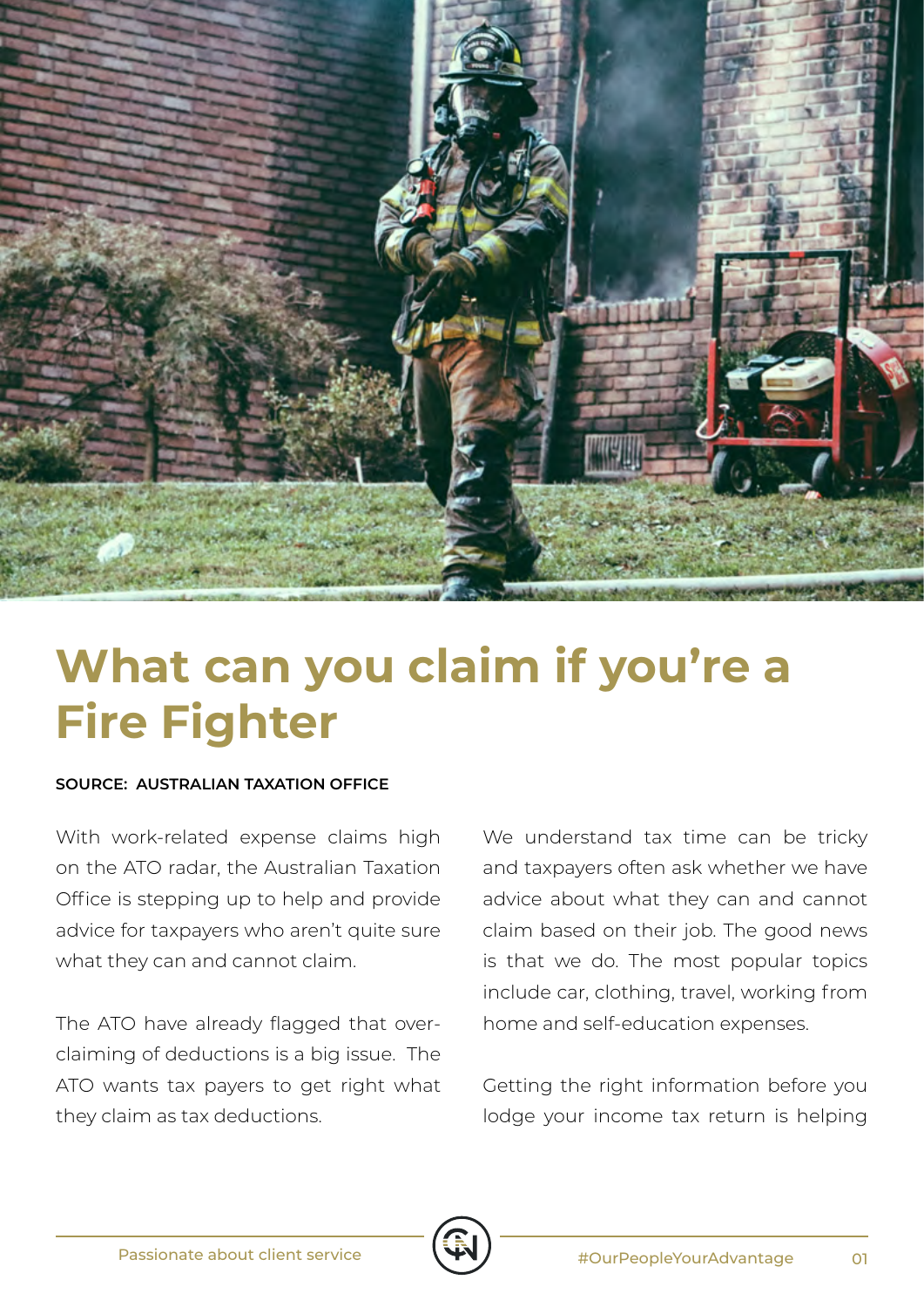

## **What can you claim if you're a Fire Fighter**

## **SOURCE: AUSTRALIAN TAXATION OFFICE**

With work-related expense claims high on the ATO radar, the Australian Taxation Office is stepping up to help and provide advice for taxpayers who aren't quite sure what they can and cannot claim.

The ATO have already flagged that overclaiming of deductions is a big issue. The ATO wants tax payers to get right what they claim as tax deductions.

We understand tax time can be tricky and taxpayers often ask whether we have advice about what they can and cannot claim based on their job. The good news is that we do. The most popular topics include car, clothing, travel, working from home and self-education expenses.

Getting the right information before you lodge your income tax return is helping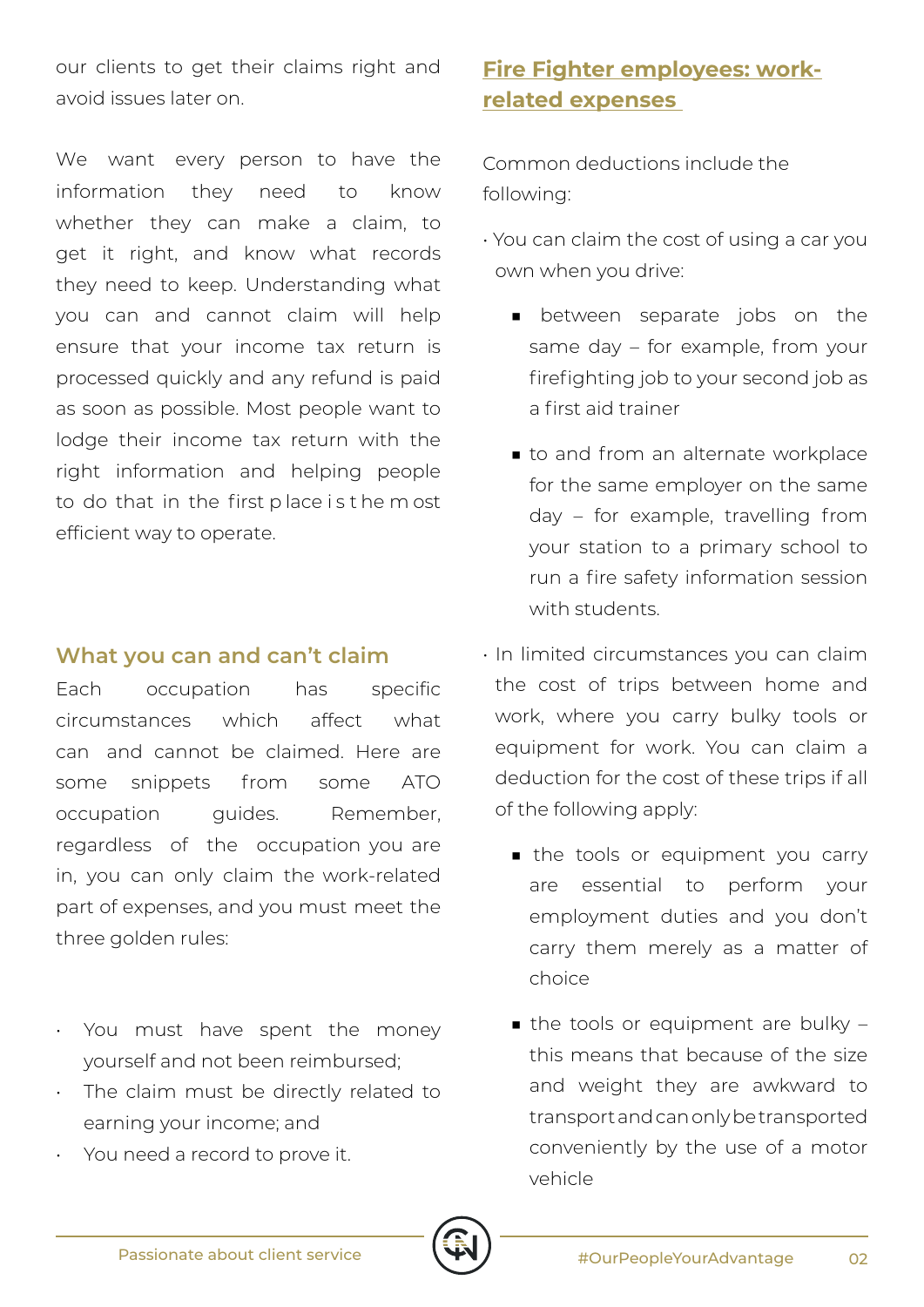our clients to get their claims right and avoid issues later on.

We want every person to have the information they need to know whether they can make a claim, to get it right, and know what records they need to keep. Understanding what you can and cannot claim will help ensure that your income tax return is processed quickly and any refund is paid as soon as possible. Most people want to lodge their income tax return with the right information and helping people to do that in the first p lace i s t he m ost efficient way to operate.

## **What you can and can't claim**

Each occupation has specific circumstances which affect what can and cannot be claimed. Here are some snippets from some ATO occupation quides. Remember, regardless of the occupation you are in, you can only claim the work-related part of expenses, and you must meet the three golden rules:

- You must have spent the money yourself and not been reimbursed;
- The claim must be directly related to earning your income; and
- You need a record to prove it.

## **Fire Fighter employees: workrelated expenses**

Common deductions include the following:

- You can claim the cost of using a car you own when you drive:
	- between separate jobs on the same day – for example, from your firefighting job to your second job as a first aid trainer
	- to and from an alternate workplace for the same employer on the same day – for example, travelling from your station to a primary school to run a fire safety information session with students.
- In limited circumstances you can claim the cost of trips between home and work, where you carry bulky tools or equipment for work. You can claim a deduction for the cost of these trips if all of the following apply:
	- the tools or equipment you carry are essential to perform your employment duties and you don't carry them merely as a matter of choice
	- $\blacksquare$  the tools or equipment are bulky this means that because of the size and weight they are awkward to transport and can only be transported conveniently by the use of a motor vehicle